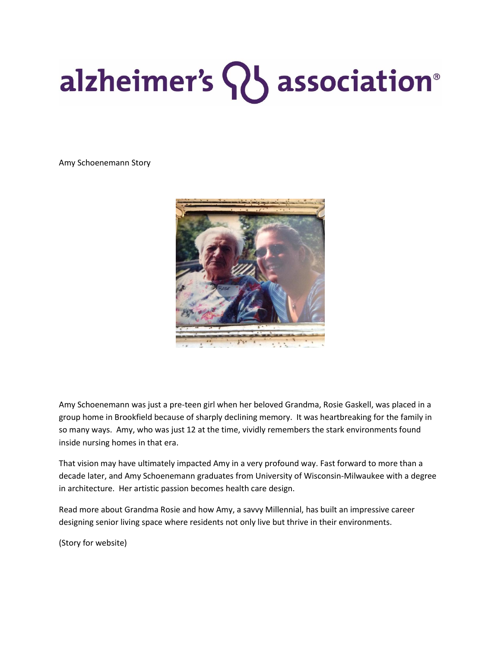## alzheimer's 83 association®

Amy Schoenemann Story



Amy Schoenemann was just a pre-teen girl when her beloved Grandma, Rosie Gaskell, was placed in a group home in Brookfield because of sharply declining memory. It was heartbreaking for the family in so many ways. Amy, who was just 12 at the time, vividly remembers the stark environments found inside nursing homes in that era.

That vision may have ultimately impacted Amy in a very profound way. Fast forward to more than a decade later, and Amy Schoenemann graduates from University of Wisconsin-Milwaukee with a degree in architecture. Her artistic passion becomes health care design.

Read more about Grandma Rosie and how Amy, a savvy Millennial, has built an impressive career designing senior living space where residents not only live but thrive in their environments.

(Story for website)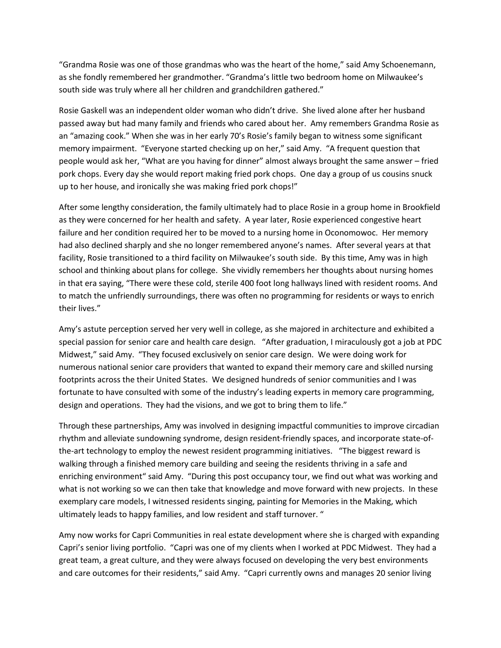"Grandma Rosie was one of those grandmas who was the heart of the home," said Amy Schoenemann, as she fondly remembered her grandmother. "Grandma's little two bedroom home on Milwaukee's south side was truly where all her children and grandchildren gathered."

Rosie Gaskell was an independent older woman who didn't drive. She lived alone after her husband passed away but had many family and friends who cared about her. Amy remembers Grandma Rosie as an "amazing cook." When she was in her early 70's Rosie's family began to witness some significant memory impairment. "Everyone started checking up on her," said Amy. "A frequent question that people would ask her, "What are you having for dinner" almost always brought the same answer – fried pork chops. Every day she would report making fried pork chops. One day a group of us cousins snuck up to her house, and ironically she was making fried pork chops!"

After some lengthy consideration, the family ultimately had to place Rosie in a group home in Brookfield as they were concerned for her health and safety. A year later, Rosie experienced congestive heart failure and her condition required her to be moved to a nursing home in Oconomowoc. Her memory had also declined sharply and she no longer remembered anyone's names. After several years at that facility, Rosie transitioned to a third facility on Milwaukee's south side. By this time, Amy was in high school and thinking about plans for college. She vividly remembers her thoughts about nursing homes in that era saying, "There were these cold, sterile 400 foot long hallways lined with resident rooms. And to match the unfriendly surroundings, there was often no programming for residents or ways to enrich their lives."

Amy's astute perception served her very well in college, as she majored in architecture and exhibited a special passion for senior care and health care design. "After graduation, I miraculously got a job at PDC Midwest," said Amy. "They focused exclusively on senior care design. We were doing work for numerous national senior care providers that wanted to expand their memory care and skilled nursing footprints across the their United States. We designed hundreds of senior communities and I was fortunate to have consulted with some of the industry's leading experts in memory care programming, design and operations. They had the visions, and we got to bring them to life."

Through these partnerships, Amy was involved in designing impactful communities to improve circadian rhythm and alleviate sundowning syndrome, design resident-friendly spaces, and incorporate state-ofthe-art technology to employ the newest resident programming initiatives. "The biggest reward is walking through a finished memory care building and seeing the residents thriving in a safe and enriching environment" said Amy. "During this post occupancy tour, we find out what was working and what is not working so we can then take that knowledge and move forward with new projects. In these exemplary care models, I witnessed residents singing, painting for Memories in the Making, which ultimately leads to happy families, and low resident and staff turnover. "

Amy now works for Capri Communities in real estate development where she is charged with expanding Capri's senior living portfolio. "Capri was one of my clients when I worked at PDC Midwest. They had a great team, a great culture, and they were always focused on developing the very best environments and care outcomes for their residents," said Amy. "Capri currently owns and manages 20 senior living